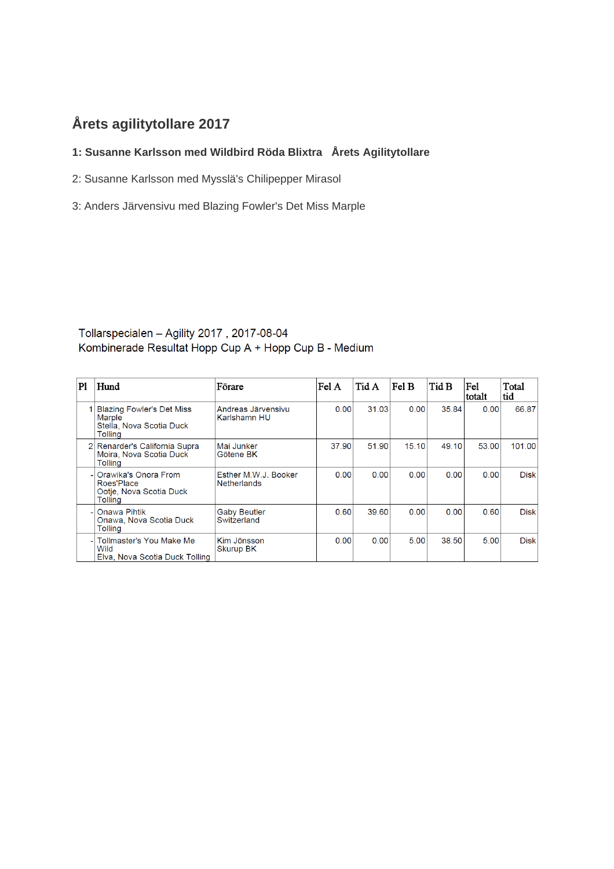# **Årets agilitytollare 2017**

### **1: Susanne Karlsson med Wildbird Röda Blixtra Årets Agilitytollare**

- 2: Susanne Karlsson med Mysslä's Chilipepper Mirasol
- 3: Anders Järvensivu med Blazing Fowler's Det Miss Marple

#### Tollarspecialen - Agility 2017, 2017-08-04 Kombinerade Resultat Hopp Cup A + Hopp Cup B - Medium

| P1 | Hund                                                                              | Förare                                     | Fel A | Tid A | Fel B | Tid B | Fe1<br>totalt | Total<br>tid |
|----|-----------------------------------------------------------------------------------|--------------------------------------------|-------|-------|-------|-------|---------------|--------------|
|    | <b>Blazing Fowler's Det Miss</b><br>Marple<br>Stella, Nova Scotia Duck<br>Tolling | Andreas Järvensivu<br>Karlshamn HU         | 0.00  | 31.03 | 0.00  | 35.84 | 0.00          | 66.87        |
|    | 2 Renarder's California Supra<br>Moira, Nova Scotia Duck<br>Tolling               | Mai Junker<br>Götene BK                    | 37.90 | 51.90 | 15.10 | 49.10 | 53.00         | 101.00       |
| ٠I | Orawika's Onora From<br>Roes'Place<br>Ootje, Nova Scotia Duck<br>Tolling          | Esther M.W.J. Booker<br><b>Netherlands</b> | 0.00  | 0.00  | 0.00  | 0.00  | 0.00          | <b>Disk</b>  |
| ÷. | Onawa Pihtik<br>Onawa, Nova Scotia Duck<br>Tolling                                | <b>Gaby Beutler</b><br>Switzerland         | 0.60  | 39.60 | 0.00  | 0.00  | 0.60          | <b>Disk</b>  |
| ٠  | Tollmaster's You Make Me<br>Wild<br>Elva, Nova Scotia Duck Tolling                | Kim Jönsson<br>Skurup BK                   | 0.00  | 0.00  | 5.00  | 38.50 | 5.00          | <b>Disk</b>  |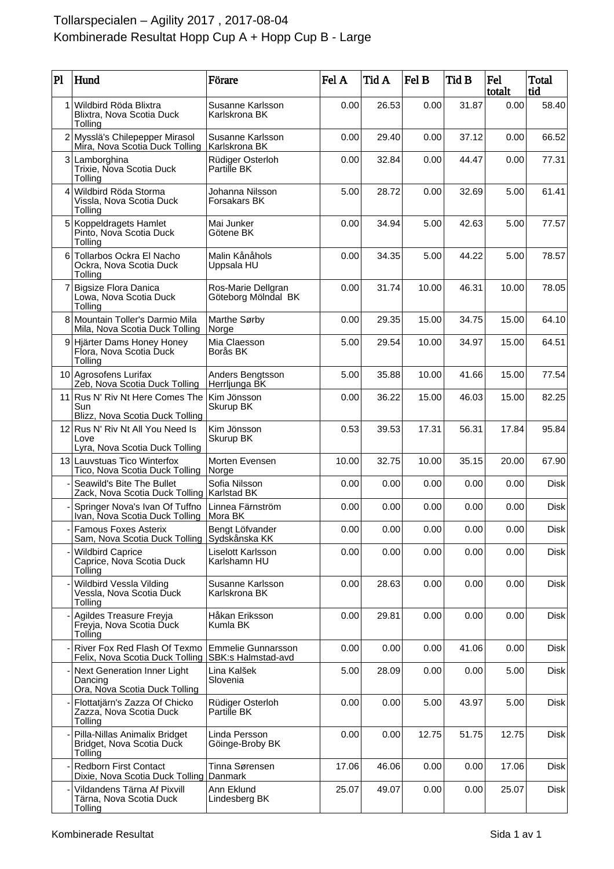## Tollarspecialen – Agility 2017 , 2017-08-04 Kombinerade Resultat Hopp Cup A + Hopp Cup B - Large

| $\mathbf{P}$   | Hund                                                                       | Förare                                          | Fel A | Tid A | Fel B | Tid B | Fel<br>totalt | Total<br>tid |
|----------------|----------------------------------------------------------------------------|-------------------------------------------------|-------|-------|-------|-------|---------------|--------------|
| 1              | Wildbird Röda Blixtra<br>Blixtra, Nova Scotia Duck<br>Tolling              | Susanne Karlsson<br>Karlskrona BK               | 0.00  | 26.53 | 0.00  | 31.87 | 0.00          | 58.40        |
|                | 2 Mysslä's Chilepepper Mirasol<br>Mira, Nova Scotia Duck Tolling           | Susanne Karlsson<br>Karlskrona BK               | 0.00  | 29.40 | 0.00  | 37.12 | 0.00          | 66.52        |
|                | 3 Lamborghina<br>Trixie, Nova Scotia Duck<br>Tolling                       | Rüdiger Osterloh<br>Partille BK                 | 0.00  | 32.84 | 0.00  | 44.47 | 0.00          | 77.31        |
| 4              | Wildbird Röda Storma<br>Vissla, Nova Scotia Duck<br>Tolling                | Johanna Nilsson<br>Forsakars BK                 | 5.00  | 28.72 | 0.00  | 32.69 | 5.00          | 61.41        |
| 5 <sup>1</sup> | Koppeldragets Hamlet<br>Pinto, Nova Scotia Duck<br>Tolling                 | Mai Junker<br>Götene BK                         | 0.00  | 34.94 | 5.00  | 42.63 | 5.00          | 77.57        |
| 6              | Tollarbos Ockra El Nacho<br>Ockra, Nova Scotia Duck<br>Tolling             | Malin Kånåhols<br>Uppsala HU                    | 0.00  | 34.35 | 5.00  | 44.22 | 5.00          | 78.57        |
| 7              | <b>Bigsize Flora Danica</b><br>Lowa, Nova Scotia Duck<br>Tolling           | Ros-Marie Dellgran<br>Göteborg Mölndal BK       | 0.00  | 31.74 | 10.00 | 46.31 | 10.00         | 78.05        |
|                | 8 Mountain Toller's Darmio Mila<br>Mila, Nova Scotia Duck Tolling          | Marthe Sørby<br>Norge                           | 0.00  | 29.35 | 15.00 | 34.75 | 15.00         | 64.10        |
|                | 9 Hjärter Dams Honey Honey<br>Flora, Nova Scotia Duck<br>Tolling           | Mia Claesson<br>Borås BK                        | 5.00  | 29.54 | 10.00 | 34.97 | 15.00         | 64.51        |
|                | 10 Agrosofens Lurifax<br>Zeb, Nova Scotia Duck Tolling                     | Anders Bengtsson<br>Herrljunga BK               | 5.00  | 35.88 | 10.00 | 41.66 | 15.00         | 77.54        |
| 11             | Rus N' Riv Nt Here Comes The<br>Sun<br>Blizz, Nova Scotia Duck Tolling     | Kim Jönsson<br>Skurup BK                        | 0.00  | 36.22 | 15.00 | 46.03 | 15.00         | 82.25        |
|                | 12 Rus N' Riv Nt All You Need Is<br>Love<br>Lyra, Nova Scotia Duck Tolling | Kim Jönsson<br>Skurup BK                        | 0.53  | 39.53 | 17.31 | 56.31 | 17.84         | 95.84        |
|                | 13 Lauvstuas Tico Winterfox<br>Tico, Nova Scotia Duck Tolling              | Morten Evensen<br>Norge                         | 10.00 | 32.75 | 10.00 | 35.15 | 20.00         | 67.90        |
|                | Seawild's Bite The Bullet<br>Zack, Nova Scotia Duck Tolling   Karlstad BK  | Sofia Nilsson                                   | 0.00  | 0.00  | 0.00  | 0.00  | 0.00          | <b>Disk</b>  |
|                | Springer Nova's Ivan Of Tuffno<br>Ivan, Nova Scotia Duck Tolling           | Linnea Färnström<br>Mora BK                     | 0.00  | 0.00  | 0.00  | 0.00  | 0.00          | <b>Disk</b>  |
|                | Famous Foxes Asterix<br>Sam, Nova Scotia Duck Tolling                      | Bengt Löfvander<br>∣Sydskånska KK               | 0.00  | 0.00  | 0.00  | 0.00  | 0.00          | Disk         |
|                | <b>Wildbird Caprice</b><br>Caprice, Nova Scotia Duck<br>Tolling            | Liselott Karlsson<br>Karlshamn HU               | 0.00  | 0.00  | 0.00  | 0.00  | 0.00          | Disk         |
|                | Wildbird Vessla Vilding<br>Vessla, Nova Scotia Duck<br>Tolling             | Susanne Karlsson<br>Karlskrona BK               | 0.00  | 28.63 | 0.00  | 0.00  | 0.00          | <b>Disk</b>  |
|                | Agildes Treasure Freyja<br>Freyja, Nova Scotia Duck<br>Tolling             | Håkan Eriksson<br>Kumla BK                      | 0.00  | 29.81 | 0.00  | 0.00  | 0.00          | <b>Disk</b>  |
|                | River Fox Red Flash Of Texmo<br>Felix, Nova Scotia Duck Tolling            | <b>Emmelie Gunnarsson</b><br>SBK:s Halmstad-avd | 0.00  | 0.00  | 0.00  | 41.06 | 0.00          | <b>Disk</b>  |
|                | Next Generation Inner Light<br>Dancing<br>Ora, Nova Scotia Duck Tolling    | Lina Kalšek<br>Slovenia                         | 5.00  | 28.09 | 0.00  | 0.00  | 5.00          | <b>Disk</b>  |
|                | Flottatjärn's Zazza Of Chicko<br>Zazza, Nova Scotia Duck<br>Tolling        | Rüdiger Osterloh<br>Partille BK                 | 0.00  | 0.00  | 5.00  | 43.97 | 5.00          | <b>Disk</b>  |
|                | Pilla-Nillas Animalix Bridget<br>Bridget, Nova Scotia Duck<br>Tolling      | Linda Persson<br>Göinge-Broby BK                | 0.00  | 0.00  | 12.75 | 51.75 | 12.75         | <b>Disk</b>  |
|                | <b>Redborn First Contact</b><br>Dixie, Nova Scotia Duck Tolling            | Tinna Sørensen<br>Danmark                       | 17.06 | 46.06 | 0.00  | 0.00  | 17.06         | <b>Disk</b>  |
|                | Vildandens Tärna Af Pixvill<br>Tärna, Nova Scotia Duck<br>Tolling          | Ann Eklund<br>Lindesberg BK                     | 25.07 | 49.07 | 0.00  | 0.00  | 25.07         | <b>Disk</b>  |